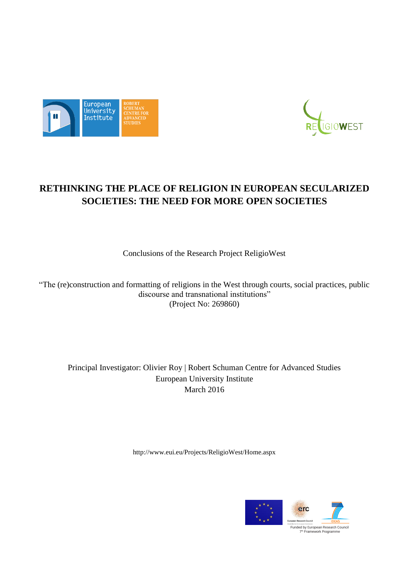



# **RETHINKING THE PLACE OF RELIGION IN EUROPEAN SECULARIZED SOCIETIES: THE NEED FOR MORE OPEN SOCIETIES**

Conclusions of the Research Project ReligioWest

"The (re)construction and formatting of religions in the West through courts, social practices, public discourse and transnational institutions" (Project No: 269860)

Principal Investigator: Olivier Roy | Robert Schuman Centre for Advanced Studies European University Institute March 2016

<http://www.eui.eu/Projects/ReligioWest/Home.aspx>

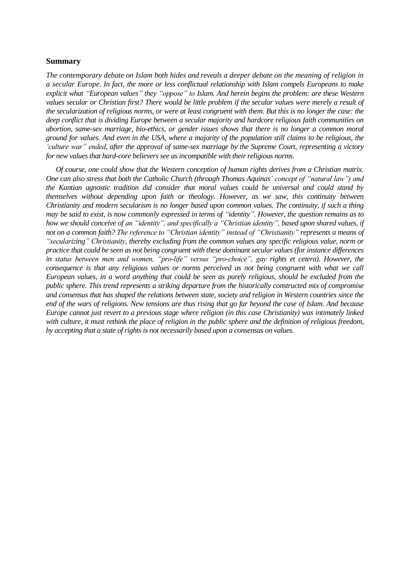#### **Summary**

*The contemporary debate on Islam both hides and reveals a deeper debate on the meaning of religion in a secular Europe. In fact, the more or less conflictual relationship with Islam compels Europeans to make explicit what "European values" they "oppose" to Islam. And herein begins the problem: are these Western values secular or Christian first? There would be little problem if the secular values were merely a result of the secularization of religious norms, or were at least congruent with them. But this is no longer the case: the deep conflict that is dividing Europe between a secular majority and hardcore religious faith communities on abortion, same-sex marriage, bio-ethics, or gender issues shows that there is no longer a common moral ground for values. And even in the USA, where a majority of the population still claims to be religious, the 'culture war" ended, after the approval of same-sex marriage by the Supreme Court, representing a victory for new values that hard-core believers see as incompatible with their religious norms.*

*Of course, one could show that the Western conception of human rights derives from a Christian matrix. One can also stress that both the Catholic Church (through Thomas Aquinas' concept of "natural law") and the Kantian agnostic tradition did consider that moral values could be universal and could stand by themselves without depending upon faith or theology. However, as we saw, this continuity between Christianity and modern secularism is no longer based upon common values. The continuity, if such a thing may be said to exist, is now commonly expressed in terms of "identity". However, the question remains as to how we should conceive of an "identity", and specifically a "Christian identity", based upon shared values, if not on a common faith? The reference to "Christian identity" instead of "Christianity" represents a means of "secularizing" Christianity, thereby excluding from the common values any specific religious value, norm or practice that could be seen as not being congruent with these dominant secular values (for instance differences in status between men and women, "pro-life" versus "pro-choice", gay rights et cetera). However, the consequence is that any religious values or norms perceived as not being congruent with what we call European values, in a word anything that could be seen as purely religious, should be excluded from the public sphere. This trend represents a striking departure from the historically constructed mix of compromise and consensus that has shaped the relations between state, society and religion in Western countries since the end of the wars of religions. New tensions are thus rising that go far beyond the case of Islam. And because Europe cannot just revert to a previous stage where religion (in this case Christianity) was intimately linked with culture, it must rethink the place of religion in the public sphere and the definition of religious freedom, by accepting that a state of rights is not necessarily based upon a consensus on values.*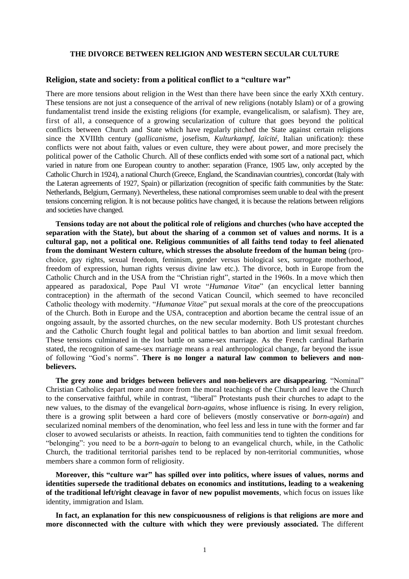#### **THE DIVORCE BETWEEN RELIGION AND WESTERN SECULAR CULTURE**

#### **Religion, state and society: from a political conflict to a "culture war"**

There are more tensions about religion in the West than there have been since the early XXth century. These tensions are not just a consequence of the arrival of new religions (notably Islam) or of a growing fundamentalist trend inside the existing religions (for example, evangelicalism, or salafism). They are, first of all, a consequence of a growing secularization of culture that goes beyond the political conflicts between Church and State which have regularly pitched the State against certain religions since the XVIIIth century (*gallicanisme*, josefism, *Kulturkampf*, *laïcité*, Italian unification): these conflicts were not about faith, values or even culture, they were about power, and more precisely the political power of the Catholic Church. All of these conflicts ended with some sort of a national pact, which varied in nature from one European country to another: separation (France, 1905 law, only accepted by the Catholic Church in 1924), a national Church (Greece, England, the Scandinavian countries), concordat (Italy with the Lateran agreements of 1927, Spain) or pillarization (recognition of specific faith communities by the State: Netherlands, Belgium, Germany). Nevertheless, these national compromises seem unable to deal with the present tensions concerning religion. It is not because politics have changed, it is because the relations between religions and societies have changed.

**Tensions today are not about the political role of religions and churches (who have accepted the separation with the State), but about the sharing of a common set of values and norms. It is a cultural gap, not a political one. Religious communities of all faiths tend today to feel alienated from the dominant Western culture, which stresses the absolute freedom of the human being** (prochoice, gay rights, sexual freedom, feminism, gender versus biological sex, surrogate motherhood, freedom of expression, human rights versus divine law etc.). The divorce, both in Europe from the Catholic Church and in the USA from the "Christian right", started in the 1960s. In a move which then appeared as paradoxical, Pope Paul VI wrote "*Humanae Vitae*" (an encyclical letter banning contraception) in the aftermath of the second Vatican Council, which seemed to have reconciled Catholic theology with modernity. "*Humanae Vitae*" put sexual morals at the core of the preoccupations of the Church. Both in Europe and the USA, contraception and abortion became the central issue of an ongoing assault, by the assorted churches, on the new secular modernity. Both US protestant churches and the Catholic Church fought legal and political battles to ban abortion and limit sexual freedom. These tensions culminated in the lost battle on same-sex marriage. As the French cardinal Barbarin stated, the recognition of same-sex marriage means a real anthropological change, far beyond the issue of following "God's norms". **There is no longer a natural law common to believers and nonbelievers.**

**The grey zone and bridges between believers and non-believers are disappearing**. "Nominal" Christian Catholics depart more and more from the moral teachings of the Church and leave the Church to the conservative faithful, while in contrast, "liberal" Protestants push their churches to adapt to the new values, to the dismay of the evangelical *born-agains*, whose influence is rising. In every religion, there is a growing split between a hard core of believers (mostly conservative or *born-again*) and secularized nominal members of the denomination, who feel less and less in tune with the former and far closer to avowed secularists or atheists. In reaction, faith communities tend to tighten the conditions for "belonging": you need to be a *born-again* to belong to an evangelical church, while, in the Catholic Church, the traditional territorial parishes tend to be replaced by non-territorial communities, whose members share a common form of religiosity.

**Moreover, this "culture war" has spilled over into politics, where issues of values, norms and identities supersede the traditional debates on economics and institutions, leading to a weakening of the traditional left/right cleavage in favor of new populist movements**, which focus on issues like identity, immigration and Islam.

**In fact, an explanation for this new conspicuousness of religions is that religions are more and more disconnected with the culture with which they were previously associated.** The different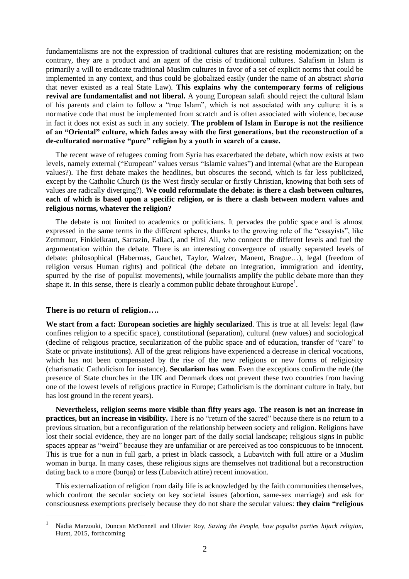fundamentalisms are not the expression of traditional cultures that are resisting modernization; on the contrary, they are a product and an agent of the crisis of traditional cultures. Salafism in Islam is primarily a will to eradicate traditional Muslim cultures in favor of a set of explicit norms that could be implemented in any context, and thus could be globalized easily (under the name of an abstract *sharia* that never existed as a real State Law). **This explains why the contemporary forms of religious revival are fundamentalist and not liberal.** A young European salafi should reject the cultural Islam of his parents and claim to follow a "true Islam", which is not associated with any culture: it is a normative code that must be implemented from scratch and is often associated with violence, because in fact it does not exist as such in any society. **The problem of Islam in Europe is not the resilience of an "Oriental" culture, which fades away with the first generations, but the reconstruction of a de-culturated normative "pure" religion by a youth in search of a cause.** 

The recent wave of refugees coming from Syria has exacerbated the debate, which now exists at two levels, namely external ("European" values versus "Islamic values") and internal (what are the European values?). The first debate makes the headlines, but obscures the second, which is far less publicized, except by the Catholic Church (is the West firstly secular or firstly Christian, knowing that both sets of values are radically diverging?). **We could reformulate the debate: is there a clash between cultures, each of which is based upon a specific religion, or is there a clash between modern values and religious norms, whatever the religion?**

The debate is not limited to academics or politicians. It pervades the public space and is almost expressed in the same terms in the different spheres, thanks to the growing role of the "essayists", like Zemmour, Finkielkraut, Sarrazin, Fallaci, and Hirsi Ali, who connect the different levels and fuel the argumentation within the debate. There is an interesting convergence of usually separated levels of debate: philosophical (Habermas, Gauchet, Taylor, Walzer, Manent, Brague…), legal (freedom of religion versus Human rights) and political (the debate on integration, immigration and identity, spurred by the rise of populist movements), while journalists amplify the public debate more than they shape it. In this sense, there is clearly a common public debate throughout  $Europe<sup>1</sup>$ .

#### **There is no return of religion….**

 $\overline{a}$ 

**We start from a fact: European societies are highly secularized**. This is true at all levels: legal (law confines religion to a specific space), constitutional (separation), cultural (new values) and sociological (decline of religious practice, secularization of the public space and of education, transfer of "care" to State or private institutions). All of the great religions have experienced a decrease in clerical vocations, which has not been compensated by the rise of the new religions or new forms of religiosity (charismatic Catholicism for instance). **Secularism has won**. Even the exceptions confirm the rule (the presence of State churches in the UK and Denmark does not prevent these two countries from having one of the lowest levels of religious practice in Europe; Catholicism is the dominant culture in Italy, but has lost ground in the recent years).

**Nevertheless, religion seems more visible than fifty years ago. The reason is not an increase in practices, but an increase in visibility.** There is no "return of the sacred" because there is no return to a previous situation, but a reconfiguration of the relationship between society and religion. Religions have lost their social evidence, they are no longer part of the daily social landscape; religious signs in public spaces appear as "weird" because they are unfamiliar or are perceived as too conspicuous to be innocent. This is true for a nun in full garb, a priest in black cassock, a Lubavitch with full attire or a Muslim woman in burqa. In many cases, these religious signs are themselves not traditional but a reconstruction dating back to a more (burqa) or less (Lubavitch attire) recent innovation.

This externalization of religion from daily life is acknowledged by the faith communities themselves, which confront the secular society on key societal issues (abortion, same-sex marriage) and ask for consciousness exemptions precisely because they do not share the secular values: **they claim "religious** 

<sup>1</sup> Nadia Marzouki, Duncan McDonnell and Olivier Roy, *Saving the People, how populist parties hijack religion,* Hurst, 2015, forthcoming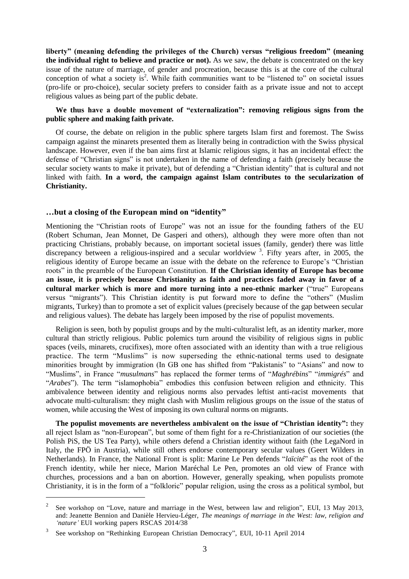**liberty" (meaning defending the privileges of the Church) versus "religious freedom" (meaning the individual right to believe and practice or not).** As we saw, the debate is concentrated on the key issue of the nature of marriage, of gender and procreation, because this is at the core of the cultural conception of what a society is<sup>2</sup>. While faith communities want to be "listened to" on societal issues (pro-life or pro-choice), secular society prefers to consider faith as a private issue and not to accept religious values as being part of the public debate.

## **We thus have a double movement of "externalization": removing religious signs from the public sphere and making faith private.**

Of course, the debate on religion in the public sphere targets Islam first and foremost. The Swiss campaign against the minarets presented them as literally being in contradiction with the Swiss physical landscape. However, even if the ban aims first at Islamic religious signs, it has an incidental effect: the defense of "Christian signs" is not undertaken in the name of defending a faith (precisely because the secular society wants to make it private), but of defending a "Christian identity" that is cultural and not linked with faith. **In a word, the campaign against Islam contributes to the secularization of Christianity.**

#### **…but a closing of the European mind on "identity"**

Mentioning the "Christian roots of Europe" was not an issue for the founding fathers of the EU (Robert Schuman, Jean Monnet, De Gasperi and others), although they were more often than not practicing Christians, probably because, on important societal issues (family, gender) there was little discrepancy between a religious-inspired and a secular worldview  $3$ . Fifty years after, in 2005, the religious identity of Europe became an issue with the debate on the reference to Europe's "Christian roots" in the preamble of the European Constitution. **If the Christian identity of Europe has become an issue, it is precisely because Christianity as faith and practices faded away in favor of a cultural marker which is more and more turning into a neo-ethnic marker** ("true" Europeans versus "migrants"). This Christian identity is put forward more to define the "others" (Muslim migrants, Turkey) than to promote a set of explicit values (precisely because of the gap between secular and religious values). The debate has largely been imposed by the rise of populist movements.

Religion is seen, both by populist groups and by the multi-culturalist left, as an identity marker, more cultural than strictly religious. Public polemics turn around the visibility of religious signs in public spaces (veils, minarets, crucifixes), more often associated with an identity than with a true religious practice. The term "Muslims" is now superseding the ethnic-national terms used to designate minorities brought by immigration (In GB one has shifted from "Pakistanis" to "Asians" and now to "Muslims", in France "*musulmans*" has replaced the former terms of "*Maghrébins*" "*immigrés*" and "*Arabes*"). The term "islamophobia" embodies this confusion between religion and ethnicity. This ambivalence between identity and religious norms also pervades leftist anti-racist movements that advocate multi-culturalism: they might clash with Muslim religious groups on the issue of the status of women, while accusing the West of imposing its own cultural norms on migrants.

**The populist movements are nevertheless ambivalent on the issue of "Christian identity":** they all reject Islam as "non-European", but some of them fight for a re-Christianization of our societies (the Polish PiS, the US Tea Party), while others defend a Christian identity without faith (the LegaNord in Italy, the FPÖ in Austria), while still others endorse contemporary secular values (Geert Wilders in Netherlands). In France, the National Front is split: Marine Le Pen defends "*laïcité*" as the root of the French identity, while her niece, Marion Maréchal Le Pen, promotes an old view of France with churches, processions and a ban on abortion. However, generally speaking, when populists promote Christianity, it is in the form of a "folkloric" popular religion, using the cross as a political symbol, but

 $\overline{a}$ 

<sup>2</sup> See workshop on "Love, nature and marriage in the West, between law and religion", EUI, 13 May 2013, and: Jeanette Bennion and Danièle Hervieu-Léger, *The meanings of marriage in the West: law, religion and 'nature'* EUI working papers RSCAS 2014/38

<sup>3</sup> See workshop on "Rethinking European Christian Democracy", EUI, 10-11 April 2014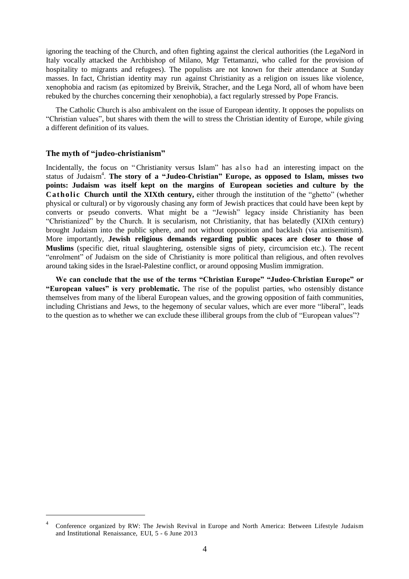ignoring the teaching of the Church, and often fighting against the clerical authorities (the LegaNord in Italy vocally attacked the Archbishop of Milano, Mgr Tettamanzi, who called for the provision of hospitality to migrants and refugees). The populists are not known for their attendance at Sunday masses. In fact, Christian identity may run against Christianity as a religion on issues like violence, xenophobia and racism (as epitomized by Breivik, Stracher, and the Lega Nord, all of whom have been rebuked by the churches concerning their xenophobia), a fact regularly stressed by Pope Francis.

The Catholic Church is also ambivalent on the issue of European identity. It opposes the populists on "Christian values", but shares with them the will to stress the Christian identity of Europe, while giving a different definition of its values.

#### **The myth of "judeo-christianism"**

 $\overline{a}$ 

Incidentally, the focus on "Christianity versus Islam" has also had an interesting impact on the status of Judaism 4 . **The story of a "Judeo-Christian" Europe, as opposed to Islam, misses two points: Judaism was itself kept on the margins of European societies and culture by the Catholic Church until the XIXth century,** either through the institution of the "ghetto" (whether physical or cultural) or by vigorously chasing any form of Jewish practices that could have been kept by converts or pseudo converts. What might be a "Jewish" legacy inside Christianity has been "Christianized" by the Church. It is secularism, not Christianity, that has belatedly (XIXth century) brought Judaism into the public sphere, and not without opposition and backlash (via antisemitism). More importantly, **Jewish religious demands regarding public spaces are closer to those of Muslims** (specific diet, ritual slaughtering, ostensible signs of piety, circumcision etc.). The recent "enrolment" of Judaism on the side of Christianity is more political than religious, and often revolves around taking sides in the Israel-Palestine conflict, or around opposing Muslim immigration.

**We can conclude that the use of the terms "Christian Europe" "Judeo-Christian Europe" or "European values" is very problematic.** The rise of the populist parties, who ostensibly distance themselves from many of the liberal European values, and the growing opposition of faith communities, including Christians and Jews, to the hegemony of secular values, which are ever more "liberal", leads to the question as to whether we can exclude these illiberal groups from the club of "European values"?

<sup>4</sup> Conference organized by RW: The Jewish Revival in Europe and North America: Between Lifestyle Judaism and Institutional Renaissance, EUI, 5 - 6 June 2013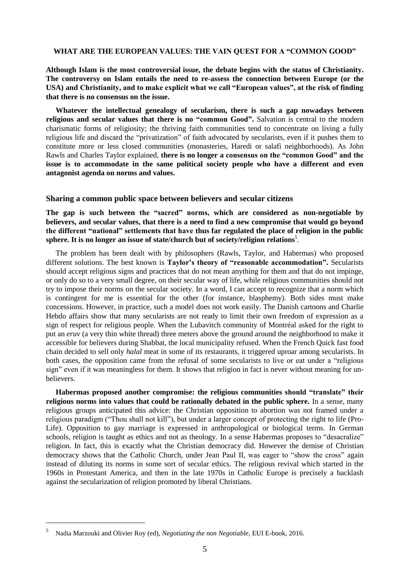#### **WHAT ARE THE EUROPEAN VALUES: THE VAIN QUEST FOR A "COMMON GOOD"**

**Although Islam is the most controversial issue, the debate begins with the status of Christianity. The controversy on Islam entails the need to re-assess the connection between Europe (or the USA) and Christianity, and to make explicit what we call "European values", at the risk of finding that there is no consensus on the issue.**

**Whatever the intellectual genealogy of secularism, there is such a gap nowadays between religious and secular values that there is no "common Good".** Salvation is central to the modern charismatic forms of religiosity; the thriving faith communities tend to concentrate on living a fully religious life and discard the "privatization" of faith advocated by secularists, even if it pushes them to constitute more or less closed communities (monasteries, Haredi or salafi neighborhoods). As John Rawls and Charles Taylor explained, **there is no longer a consensus on the "common Good" and the issue is to accommodate in the same political society people who have a different and even antagonist agenda on norms and values.**

#### **Sharing a common public space between believers and secular citizens**

**The gap is such between the "sacred" norms, which are considered as non-negotiable by believers, and secular values, that there is a need to find a new compromise that would go beyond the different "national" settlements that have thus far regulated the place of religion in the public sphere. It is no longer an issue of state/church but of society/religion relations** 5 .

The problem has been dealt with by philosophers (Rawls, Taylor, and Habermas) who proposed different solutions. The best known is **Taylor's theory of "reasonable accommodation".** Secularists should accept religious signs and practices that do not mean anything for them and that do not impinge, or only do so to a very small degree, on their secular way of life, while religious communities should not try to impose their norms on the secular society. In a word, I can accept to recognize that a norm which is contingent for me is essential for the other (for instance, blasphemy). Both sides must make concessions. However, in practice, such a model does not work easily. The Danish cartoons and Charlie Hebdo affairs show that many secularists are not ready to limit their own freedom of expression as a sign of respect for religious people. When the Lubavitch community of Montréal asked for the right to put an *eruv* (a very thin white thread) three meters above the ground around the neighborhood to make it accessible for believers during Shabbat, the local municipality refused. When the French Quick fast food chain decided to sell only *halal* meat in some of its restaurants, it triggered uproar among secularists. In both cases, the opposition came from the refusal of some secularists to live or eat under a "religious sign" even if it was meaningless for them. It shows that religion in fact is never without meaning for unbelievers.

**Habermas proposed another compromise: the religious communities should "translate" their religious norms into values that could be rationally debated in the public sphere.** In a sense, many religious groups anticipated this advice: the Christian opposition to abortion was not framed under a religious paradigm ("Thou shall not kill"), but under a larger concept of protecting the right to life (Pro-Life). Opposition to gay marriage is expressed in anthropological or biological terms. In German schools, religion is taught as ethics and not as theology. In a sense Habermas proposes to "desacralize" religion. In fact, this is exactly what the Christian democracy did. However the demise of Christian democracy shows that the Catholic Church, under Jean Paul II, was eager to "show the cross" again instead of diluting its norms in some sort of secular ethics. The religious revival which started in the 1960s in Protestant America, and then in the late 1970s in Catholic Europe is precisely a backlash against the secularization of religion promoted by liberal Christians.

 $\overline{a}$ 

<sup>5</sup> Nadia Marzouki and Olivier Roy (ed), *Negotiating the non Negotiable*, EUI E-book, 2016.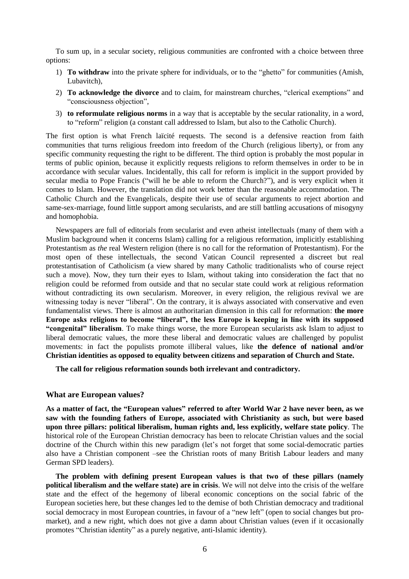To sum up, in a secular society, religious communities are confronted with a choice between three options:

- 1) **To withdraw** into the private sphere for individuals, or to the "ghetto" for communities (Amish, Lubavitch),
- 2) **To acknowledge the divorce** and to claim, for mainstream churches, "clerical exemptions" and "consciousness objection",
- 3) **to reformulate religious norms** in a way that is acceptable by the secular rationality, in a word, to "reform" religion (a constant call addressed to Islam, but also to the Catholic Church).

The first option is what French laïcité requests. The second is a defensive reaction from faith communities that turns religious freedom into freedom of the Church (religious liberty), or from any specific community requesting the right to be different. The third option is probably the most popular in terms of public opinion, because it explicitly requests religions to reform themselves in order to be in accordance with secular values. Incidentally, this call for reform is implicit in the support provided by secular media to Pope Francis ("will he be able to reform the Church?"), and is very explicit when it comes to Islam. However, the translation did not work better than the reasonable accommodation. The Catholic Church and the Evangelicals, despite their use of secular arguments to reject abortion and same-sex-marriage, found little support among secularists, and are still battling accusations of misogyny and homophobia.

Newspapers are full of editorials from secularist and even atheist intellectuals (many of them with a Muslim background when it concerns Islam) calling for a religious reformation, implicitly establishing Protestantism as *the* real Western religion (there is no call for the reformation of Protestantism). For the most open of these intellectuals, the second Vatican Council represented a discreet but real protestantisation of Catholicism (a view shared by many Catholic traditionalists who of course reject such a move). Now, they turn their eyes to Islam, without taking into consideration the fact that no religion could be reformed from outside and that no secular state could work at religious reformation without contradicting its own secularism. Moreover, in every religion, the religious revival we are witnessing today is never "liberal". On the contrary, it is always associated with conservative and even fundamentalist views. There is almost an authoritarian dimension in this call for reformation: **the more Europe asks religions to become "liberal", the less Europe is keeping in line with its supposed "congenital" liberalism**. To make things worse, the more European secularists ask Islam to adjust to liberal democratic values, the more these liberal and democratic values are challenged by populist movements: in fact the populists promote illiberal values, like **the defence of national and/or Christian identities as opposed to equality between citizens and separation of Church and State.** 

**The call for religious reformation sounds both irrelevant and contradictory.**

#### **What are European values?**

**As a matter of fact, the "European values" referred to after World War 2 have never been, as we saw with the founding fathers of Europe, associated with Christianity as such, but were based upon three pillars: political liberalism, human rights and, less explicitly, welfare state policy**. The historical role of the European Christian democracy has been to relocate Christian values and the social doctrine of the Church within this new paradigm (let's not forget that some social-democratic parties also have a Christian component –see the Christian roots of many British Labour leaders and many German SPD leaders).

**The problem with defining present European values is that two of these pillars (namely political liberalism and the welfare state) are in crisis**. We will not delve into the crisis of the welfare state and the effect of the hegemony of liberal economic conceptions on the social fabric of the European societies here, but these changes led to the demise of both Christian democracy and traditional social democracy in most European countries, in favour of a "new left" (open to social changes but promarket), and a new right, which does not give a damn about Christian values (even if it occasionally promotes "Christian identity" as a purely negative, anti-Islamic identity).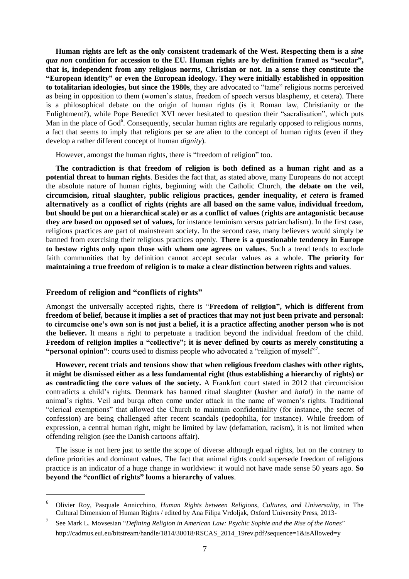**Human rights are left as the only consistent trademark of the West. Respecting them is a** *sine qua non* **condition for accession to the EU. Human rights are by definition framed as "secular", that is, independent from any religious norms, Christian or not. In a sense they constitute the "European identity" or even the European ideology. They were initially established in opposition to totalitarian ideologies, but since the 1980s**, they are advocated to "tame" religious norms perceived as being in opposition to them (women's status, freedom of speech versus blasphemy, et cetera). There is a philosophical debate on the origin of human rights (is it Roman law, Christianity or the Enlightment?), while Pope Benedict XVI never hesitated to question their "sacralisation", which puts Man in the place of God<sup>6</sup>. Consequently, secular human rights are regularly opposed to religious norms, a fact that seems to imply that religions per se are alien to the concept of human rights (even if they develop a rather different concept of human *dignity*).

However, amongst the human rights, there is "freedom of religion" too.

**The contradiction is that freedom of religion is both defined as a human right and as a potential threat to human rights**. Besides the fact that, as stated above, many Europeans do not accept the absolute nature of human rights, beginning with the Catholic Church, **the debate on the veil, circumcision, ritual slaughter, public religious practices, gender inequality,** *et cetera* **is framed alternatively as a conflict of rights (rights are all based on the same value, individual freedom, but should be put on a hierarchical scale) or as a conflict of values** (**rights are antagonistic because they are based on opposed set of values,** for instance feminism versus patriarchalism). In the first case, religious practices are part of mainstream society. In the second case, many believers would simply be banned from exercising their religious practices openly. **There is a questionable tendency in Europe to bestow rights only upon those with whom one agrees on values**. Such a trend tends to exclude faith communities that by definition cannot accept secular values as a whole. **The priority for maintaining a true freedom of religion is to make a clear distinction between rights and values**.

#### **Freedom of religion and "conflicts of rights"**

 $\overline{a}$ 

Amongst the universally accepted rights, there is "**Freedom of religion", which is different from freedom of belief, because it implies a set of practices that may not just been private and personal: to circumcise one's own son is not just a belief, it is a practice affecting another person who is not the believer.** It means a right to perpetuate a tradition beyond the individual freedom of the child. **Freedom of religion implies a "collective"; it is never defined by courts as merely constituting a** "**personal opinion**": courts used to dismiss people who advocated a "religion of myself"<sup>7</sup>.

**However, recent trials and tensions show that when religious freedom clashes with other rights, it might be dismissed either as a less fundamental right (thus establishing a hierarchy of rights) or as contradicting the core values of the society.** A Frankfurt court stated in 2012 that circumcision contradicts a child's rights. Denmark has banned ritual slaughter (*kasher* and *halal*) in the name of animal's rights. Veil and burqa often come under attack in the name of women's rights. Traditional "clerical exemptions" that allowed the Church to maintain confidentiality (for instance, the secret of confession) are being challenged after recent scandals (pedophilia, for instance). While freedom of expression, a central human right, might be limited by law (defamation, racism), it is not limited when offending religion (see the Danish cartoons affair).

The issue is not here just to settle the scope of diverse although equal rights, but on the contrary to define priorities and dominant values. The fact that animal rights could supersede freedom of religious practice is an indicator of a huge change in worldview: it would not have made sense 50 years ago. **So beyond the "conflict of rights" looms a hierarchy of values**.

<sup>6</sup> Olivier Roy, Pasquale Annicchino*, Human Rights between Religions, Cultures, and Universality*, in The Cultural Dimension of Human Rights / edited by Ana Filipa Vrdoljak, Oxford University Press, 2013-

<sup>7</sup> See Mark L. Movsesian "*Defining Religion in American Law: Psychic Sophie and the Rise of the Nones*" http://cadmus.eui[.eu/bitstream/handle/1814/30018/RSCAS\\_2014\\_19rev.pdf?sequence=1&isAllowed=y](http://cadmus.eui.eu/bitstream/handle/1814/30018/RSCAS_2014_19rev.pdf?sequence=1&isAllowed=y)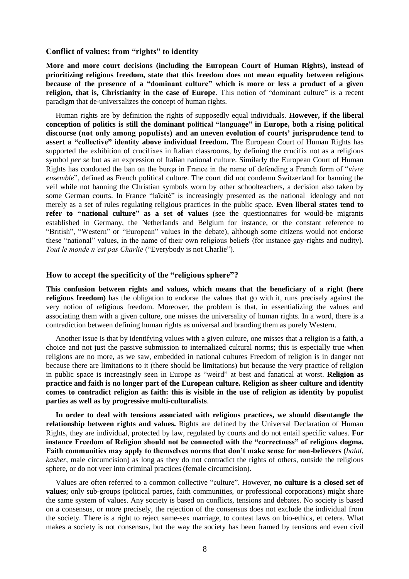# **Conflict of values: from "rights" to identity**

**More and more court decisions (including the European Court of Human Rights), instead of prioritizing religious freedom, state that this freedom does not mean equality between religions because of the presence of a "dominant culture" which is more or less a product of a given religion, that is, Christianity in the case of Europe**. This notion of "dominant culture" is a recent paradigm that de-universalizes the concept of human rights.

Human rights are by definition the rights of supposedly equal individuals. **However, if the liberal conception of politics is still the dominant political "language" in Europe, both a rising political discourse (not only among populists) and an uneven evolution of courts' jurisprudence tend to assert a "collective" identity above individual freedom.** The European Court of Human Rights has supported the exhibition of crucifixes in Italian classrooms, by defining the crucifix not as a religious symbol *per se* but as an expression of Italian national culture. Similarly the European Court of Human Rights has condoned the ban on the burqa in France in the name of defending a French form of "*vivre ensemble*", defined as French political culture. The court did not condemn Switzerland for banning the veil while not banning the Christian symbols worn by other schoolteachers, a decision also taken by some German courts. In France "laïcité" is increasingly presented as the national ideology and not merely as a set of rules regulating religious practices in the public space. **Even liberal states tend to refer to "national culture" as a set of values** (see the questionnaires for would-be migrants established in Germany, the Netherlands and Belgium for instance, or the constant reference to "British", "Western" or "European" values in the debate), although some citizens would not endorse these "national" values, in the name of their own religious beliefs (for instance gay-rights and nudity). *Tout le monde n'est pas Charlie* ("Everybody is not Charlie").

## **How to accept the specificity of the "religious sphere"?**

**This confusion between rights and values, which means that the beneficiary of a right (here religious freedom)** has the obligation to endorse the values that go with it, runs precisely against the very notion of religious freedom. Moreover, the problem is that, in essentializing the values and associating them with a given culture, one misses the universality of human rights. In a word, there is a contradiction between defining human rights as universal and branding them as purely Western.

Another issue is that by identifying values with a given culture, one misses that a religion is a faith, a choice and not just the passive submission to internalized cultural norms; this is especially true when religions are no more, as we saw, embedded in national cultures Freedom of religion is in danger not because there are limitations to it (there should be limitations) but because the very practice of religion in public space is increasingly seen in Europe as "weird" at best and fanatical at worst. **Religion as practice and faith is no longer part of the European culture. Religion as sheer culture and identity comes to contradict religion as faith: this is visible in the use of religion as identity by populist parties as well as by progressive multi-culturalists**.

**In order to deal with tensions associated with religious practices, we should disentangle the relationship between rights and values.** Rights are defined by the Universal Declaration of Human Rights, they are individual, protected by law, regulated by courts and do not entail specific values. **For instance Freedom of Religion should not be connected with the "correctness" of religious dogma. Faith communities may apply to themselves norms that don't make sense for non-believers** (*halal*, *kasher*, male circumcision) as long as they do not contradict the rights of others, outside the religious sphere, or do not veer into criminal practices (female circumcision).

Values are often referred to a common collective "culture". However, **no culture is a closed set of values**; only sub-groups (political parties, faith communities, or professional corporations) might share the same system of values. Any society is based on conflicts, tensions and debates. No society is based on a consensus, or more precisely, the rejection of the consensus does not exclude the individual from the society. There is a right to reject same-sex marriage, to contest laws on bio-ethics, et cetera. What makes a society is not consensus, but the way the society has been framed by tensions and even civil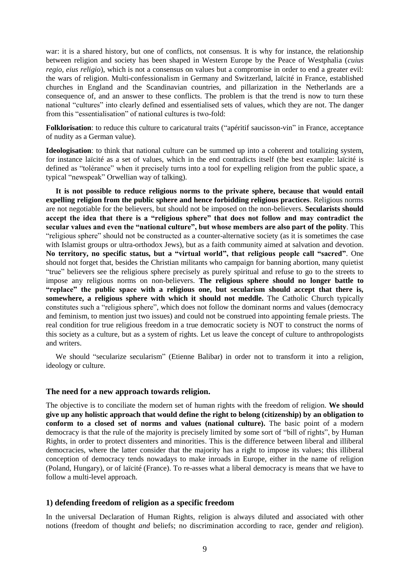war: it is a shared history, but one of conflicts, not consensus. It is why for instance, the relationship between religion and society has been shaped in Western Europe by the Peace of Westphalia (*cuius regio, eius religio*), which is not a consensus on values but a compromise in order to end a greater evil: the wars of religion. Multi-confessionalism in Germany and Switzerland, laïcité in France, established churches in England and the Scandinavian countries, and pillarization in the Netherlands are a consequence of, and an answer to these conflicts. The problem is that the trend is now to turn these national "cultures" into clearly defined and essentialised sets of values, which they are not. The danger from this "essentialisation" of national cultures is two-fold:

**Folklorisation**: to reduce this culture to caricatural traits ("apéritif saucisson-vin" in France, acceptance of nudity as a German value).

**Ideologisation**: to think that national culture can be summed up into a coherent and totalizing system, for instance laïcité as a set of values, which in the end contradicts itself (the best example: laïcité is defined as "tolérance" when it precisely turns into a tool for expelling religion from the public space, a typical "newspeak" Orwellian way of talking).

**It is not possible to reduce religious norms to the private sphere, because that would entail expelling religion from the public sphere and hence forbidding religious practices**. Religious norms are not negotiable for the believers, but should not be imposed on the non-believers. **Secularists should accept the idea that there is a "religious sphere" that does not follow and may contradict the secular values and even the "national culture", but whose members are also part of the polity**. This "religious sphere" should not be constructed as a counter-alternative society (as it is sometimes the case with Islamist groups or ultra-orthodox Jews), but as a faith community aimed at salvation and devotion. **No territory, no specific status, but a "virtual world", that religious people call "sacred"**. One should not forget that, besides the Christian militants who campaign for banning abortion, many quietist "true" believers see the religious sphere precisely as purely spiritual and refuse to go to the streets to impose any religious norms on non-believers. **The religious sphere should no longer battle to "replace" the public space with a religious one, but secularism should accept that there is, somewhere, a religious sphere with which it should not meddle.** The Catholic Church typically constitutes such a "religious sphere", which does not follow the dominant norms and values (democracy and feminism, to mention just two issues) and could not be construed into appointing female priests. The real condition for true religious freedom in a true democratic society is NOT to construct the norms of this society as a culture, but as a system of rights. Let us leave the concept of culture to anthropologists and writers.

We should "secularize secularism" (Etienne Balibar) in order not to transform it into a religion, ideology or culture.

#### **The need for a new approach towards religion.**

The objective is to conciliate the modern set of human rights with the freedom of religion. **We should give up any holistic approach that would define the right to belong (citizenship) by an obligation to conform to a closed set of norms and values (national culture).** The basic point of a modern democracy is that the rule of the majority is precisely limited by some sort of "bill of rights", by Human Rights, in order to protect dissenters and minorities. This is the difference between liberal and illiberal democracies, where the latter consider that the majority has a right to impose its values; this illiberal conception of democracy tends nowadays to make inroads in Europe, either in the name of religion (Poland, Hungary), or of laïcité (France). To re-asses what a liberal democracy is means that we have to follow a multi-level approach.

#### **1) defending freedom of religion as a specific freedom**

In the universal Declaration of Human Rights, religion is always diluted and associated with other notions (freedom of thought *and* beliefs; no discrimination according to race, gender *and* religion).